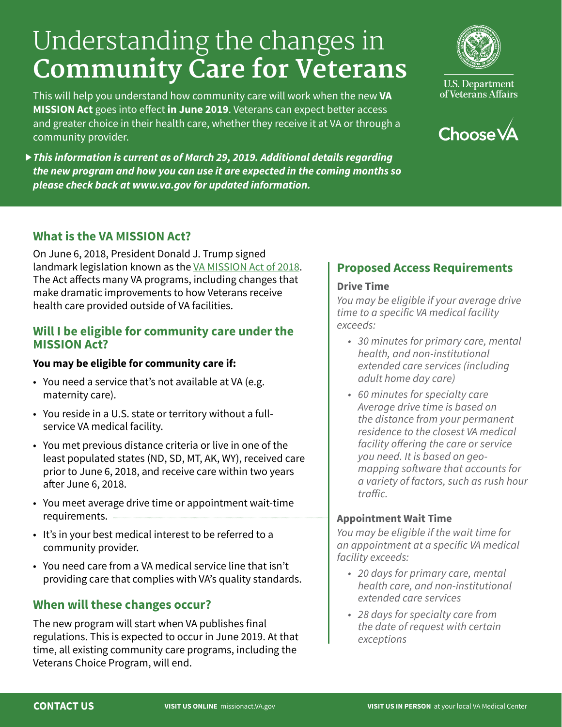# Understanding the changes in **Community Care for Veterans**

This will help you understand how community care will work when the new **VA MISSION Act** goes into effect **in June 2019**. Veterans can expect better access and greater choice in their health care, whether they receive it at VA or through a community provider.

*This information is current as of March 29, 2019. Additional details regarding the new program and how you can use it are expected in the coming months so please check back at www.va.gov for updated information.*



**U.S. Department** of Veterans Affairs



## **What is the VA MISSION Act?**

On June 6, 2018, President Donald J. Trump signed landmark legislation known as the [VA MISSION Act of 2018](https://www.congress.gov/bill/115th-congress/senate-bill/2372/text). The Act affects many VA programs, including changes that make dramatic improvements to how Veterans receive health care provided outside of VA facilities.

#### **Will I be eligible for community care under the MISSION Act?**

#### **You may be eligible for community care if:**

- You need a service that's not available at VA (e.g. maternity care).
- You reside in a U.S. state or territory without a fullservice VA medical facility.
- You met previous distance criteria or live in one of the least populated states (ND, SD, MT, AK, WY), received care prior to June 6, 2018, and receive care within two years after June 6, 2018.
- You meet average drive time or appointment wait-time requirements.
- It's in your best medical interest to be referred to a community provider.
- You need care from a VA medical service line that isn't providing care that complies with VA's quality standards.

#### **When will these changes occur?**

The new program will start when VA publishes final regulations. This is expected to occur in June 2019. At that time, all existing community care programs, including the Veterans Choice Program, will end.

## **Proposed Access Requirements**

#### **Drive Time**

*You may be eligible if your average drive*  time to a specific VA medical facility *exceeds:*

- *30 minutes for primary care, mental health, and non-institutional extended care services (including adult home day care)*
- *60 minutes for specialty care*  Average drive time is based on *the distance from your permanent*  residence to the closest VA medical facility offering the care or service *you need. It is based on geo*mapping software that accounts for *a variety of factors, such as rush hour*  traffic.

#### **Appointment Wait Time**

You may be eligible if the wait time for an appointment at a specific VA medical *facility exceeds:*

- *20 days for primary care, mental health care, and non-institutional extended care services*
- *28 days for specialty care from*  the date of request with certain *exceptions*